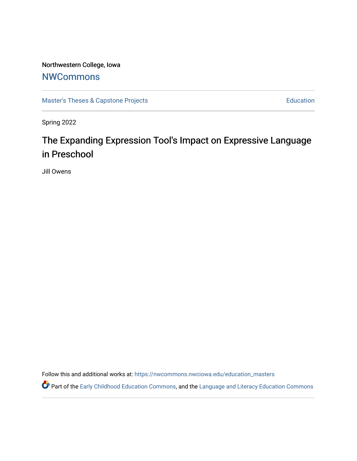# Northwestern College, Iowa

# **[NWCommons](https://nwcommons.nwciowa.edu/)**

[Master's Theses & Capstone Projects](https://nwcommons.nwciowa.edu/education_masters) **Education** Education

Spring 2022

# The Expanding Expression Tool's Impact on Expressive Language in Preschool

Jill Owens

Follow this and additional works at: [https://nwcommons.nwciowa.edu/education\\_masters](https://nwcommons.nwciowa.edu/education_masters?utm_source=nwcommons.nwciowa.edu%2Feducation_masters%2F397&utm_medium=PDF&utm_campaign=PDFCoverPages)

Part of the [Early Childhood Education Commons,](https://network.bepress.com/hgg/discipline/1377?utm_source=nwcommons.nwciowa.edu%2Feducation_masters%2F397&utm_medium=PDF&utm_campaign=PDFCoverPages) and the Language and Literacy Education Commons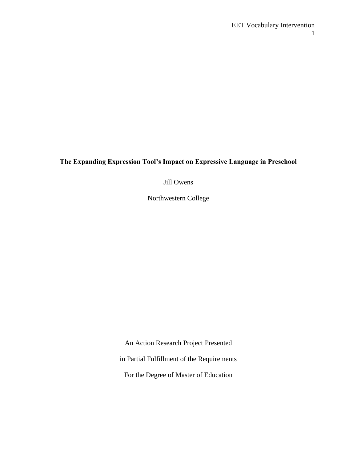### **The Expanding Expression Tool's Impact on Expressive Language in Preschool**

Jill Owens

Northwestern College

An Action Research Project Presented in Partial Fulfillment of the Requirements For the Degree of Master of Education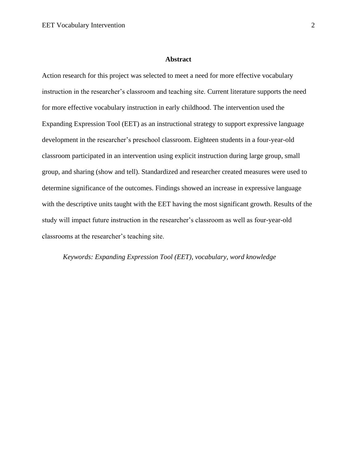#### **Abstract**

<span id="page-2-0"></span>Action research for this project was selected to meet a need for more effective vocabulary instruction in the researcher's classroom and teaching site. Current literature supports the need for more effective vocabulary instruction in early childhood. The intervention used the Expanding Expression Tool (EET) as an instructional strategy to support expressive language development in the researcher's preschool classroom. Eighteen students in a four-year-old classroom participated in an intervention using explicit instruction during large group, small group, and sharing (show and tell). Standardized and researcher created measures were used to determine significance of the outcomes. Findings showed an increase in expressive language with the descriptive units taught with the EET having the most significant growth. Results of the study will impact future instruction in the researcher's classroom as well as four-year-old classrooms at the researcher's teaching site.

*Keywords: Expanding Expression Tool (EET), vocabulary, word knowledge*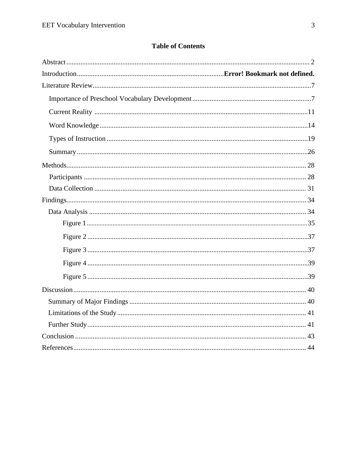### **Table of Contents**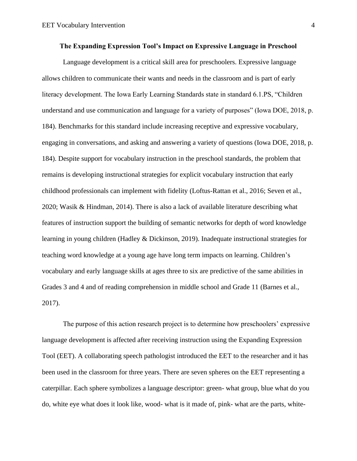<span id="page-4-0"></span>Language development is a critical skill area for preschoolers. Expressive language allows children to communicate their wants and needs in the classroom and is part of early literacy development. The Iowa Early Learning Standards state in standard 6.1.PS, "Children understand and use communication and language for a variety of purposes" (Iowa DOE, 2018, p. 184). Benchmarks for this standard include increasing receptive and expressive vocabulary, engaging in conversations, and asking and answering a variety of questions (Iowa DOE, 2018, p. 184). Despite support for vocabulary instruction in the preschool standards, the problem that remains is developing instructional strategies for explicit vocabulary instruction that early childhood professionals can implement with fidelity (Loftus-Rattan et al., 2016; Seven et al., 2020; Wasik & Hindman, 2014). There is also a lack of available literature describing what features of instruction support the building of semantic networks for depth of word knowledge learning in young children (Hadley & Dickinson, 2019). Inadequate instructional strategies for teaching word knowledge at a young age have long term impacts on learning. Children's vocabulary and early language skills at ages three to six are predictive of the same abilities in Grades 3 and 4 and of reading comprehension in middle school and Grade 11 (Barnes et al., 2017).

The purpose of this action research project is to determine how preschoolers' expressive language development is affected after receiving instruction using the Expanding Expression Tool (EET). A collaborating speech pathologist introduced the EET to the researcher and it has been used in the classroom for three years. There are seven spheres on the EET representing a caterpillar. Each sphere symbolizes a language descriptor: green- what group, blue what do you do, white eye what does it look like, wood- what is it made of, pink- what are the parts, white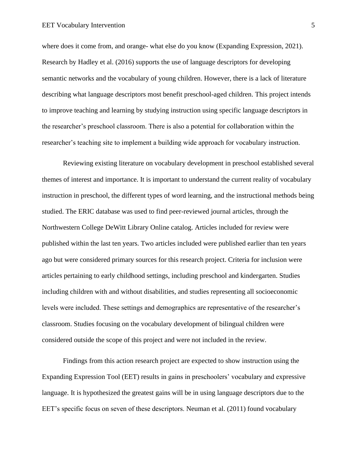where does it come from, and orange- what else do you know (Expanding Expression, 2021). Research by Hadley et al. (2016) supports the use of language descriptors for developing semantic networks and the vocabulary of young children. However, there is a lack of literature describing what language descriptors most benefit preschool-aged children. This project intends to improve teaching and learning by studying instruction using specific language descriptors in the researcher's preschool classroom. There is also a potential for collaboration within the researcher's teaching site to implement a building wide approach for vocabulary instruction.

Reviewing existing literature on vocabulary development in preschool established several themes of interest and importance. It is important to understand the current reality of vocabulary instruction in preschool, the different types of word learning, and the instructional methods being studied. The ERIC database was used to find peer-reviewed journal articles, through the Northwestern College DeWitt Library Online catalog. Articles included for review were published within the last ten years. Two articles included were published earlier than ten years ago but were considered primary sources for this research project. Criteria for inclusion were articles pertaining to early childhood settings, including preschool and kindergarten. Studies including children with and without disabilities, and studies representing all socioeconomic levels were included. These settings and demographics are representative of the researcher's classroom. Studies focusing on the vocabulary development of bilingual children were considered outside the scope of this project and were not included in the review.

Findings from this action research project are expected to show instruction using the Expanding Expression Tool (EET) results in gains in preschoolers' vocabulary and expressive language. It is hypothesized the greatest gains will be in using language descriptors due to the EET's specific focus on seven of these descriptors. Neuman et al. (2011) found vocabulary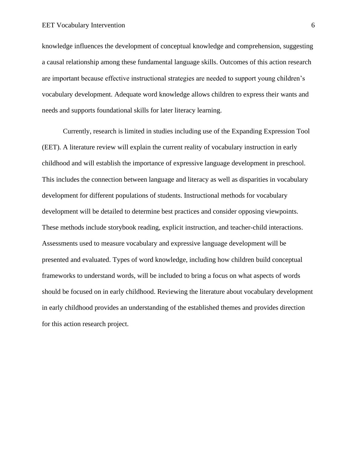knowledge influences the development of conceptual knowledge and comprehension, suggesting a causal relationship among these fundamental language skills. Outcomes of this action research are important because effective instructional strategies are needed to support young children's vocabulary development. Adequate word knowledge allows children to express their wants and needs and supports foundational skills for later literacy learning.

Currently, research is limited in studies including use of the Expanding Expression Tool (EET). A literature review will explain the current reality of vocabulary instruction in early childhood and will establish the importance of expressive language development in preschool. This includes the connection between language and literacy as well as disparities in vocabulary development for different populations of students. Instructional methods for vocabulary development will be detailed to determine best practices and consider opposing viewpoints. These methods include storybook reading, explicit instruction, and teacher-child interactions. Assessments used to measure vocabulary and expressive language development will be presented and evaluated. Types of word knowledge, including how children build conceptual frameworks to understand words, will be included to bring a focus on what aspects of words should be focused on in early childhood. Reviewing the literature about vocabulary development in early childhood provides an understanding of the established themes and provides direction for this action research project.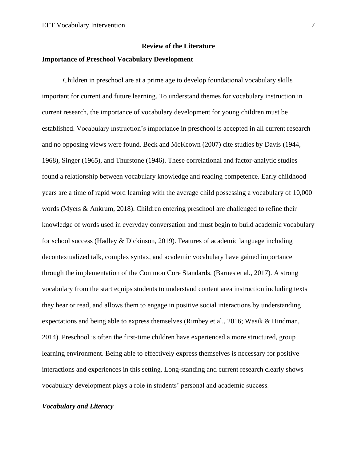#### **Review of the Literature**

#### <span id="page-7-1"></span><span id="page-7-0"></span>**Importance of Preschool Vocabulary Development**

Children in preschool are at a prime age to develop foundational vocabulary skills important for current and future learning. To understand themes for vocabulary instruction in current research, the importance of vocabulary development for young children must be established. Vocabulary instruction's importance in preschool is accepted in all current research and no opposing views were found. Beck and McKeown (2007) cite studies by Davis (1944, 1968), Singer (1965), and Thurstone (1946). These correlational and factor-analytic studies found a relationship between vocabulary knowledge and reading competence. Early childhood years are a time of rapid word learning with the average child possessing a vocabulary of 10,000 words (Myers & Ankrum, 2018). Children entering preschool are challenged to refine their knowledge of words used in everyday conversation and must begin to build academic vocabulary for school success (Hadley & Dickinson, 2019). Features of academic language including decontextualized talk, complex syntax, and academic vocabulary have gained importance through the implementation of the Common Core Standards. (Barnes et al., 2017). A strong vocabulary from the start equips students to understand content area instruction including texts they hear or read, and allows them to engage in positive social interactions by understanding expectations and being able to express themselves (Rimbey et al., 2016; Wasik & Hindman, 2014). Preschool is often the first-time children have experienced a more structured, group learning environment. Being able to effectively express themselves is necessary for positive interactions and experiences in this setting. Long-standing and current research clearly shows vocabulary development plays a role in students' personal and academic success.

#### *Vocabulary and Literacy*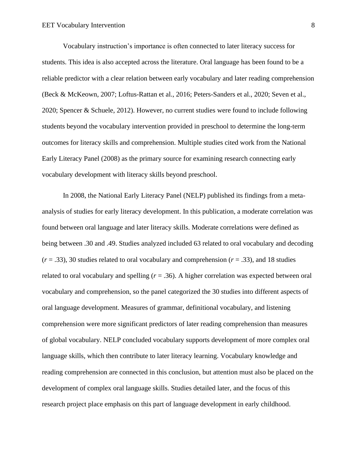Vocabulary instruction's importance is often connected to later literacy success for students. This idea is also accepted across the literature. Oral language has been found to be a reliable predictor with a clear relation between early vocabulary and later reading comprehension (Beck & McKeown, 2007; Loftus-Rattan et al., 2016; Peters-Sanders et al., 2020; Seven et al., 2020; Spencer & Schuele, 2012). However, no current studies were found to include following students beyond the vocabulary intervention provided in preschool to determine the long-term outcomes for literacy skills and comprehension. Multiple studies cited work from the National Early Literacy Panel (2008) as the primary source for examining research connecting early vocabulary development with literacy skills beyond preschool.

In 2008, the National Early Literacy Panel (NELP) published its findings from a metaanalysis of studies for early literacy development. In this publication, a moderate correlation was found between oral language and later literacy skills. Moderate correlations were defined as being between .30 and .49. Studies analyzed included 63 related to oral vocabulary and decoding  $(r = .33)$ , 30 studies related to oral vocabulary and comprehension  $(r = .33)$ , and 18 studies related to oral vocabulary and spelling  $(r = .36)$ . A higher correlation was expected between oral vocabulary and comprehension, so the panel categorized the 30 studies into different aspects of oral language development. Measures of grammar, definitional vocabulary, and listening comprehension were more significant predictors of later reading comprehension than measures of global vocabulary. NELP concluded vocabulary supports development of more complex oral language skills, which then contribute to later literacy learning. Vocabulary knowledge and reading comprehension are connected in this conclusion, but attention must also be placed on the development of complex oral language skills. Studies detailed later, and the focus of this research project place emphasis on this part of language development in early childhood.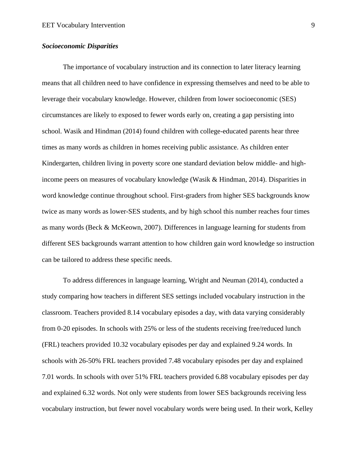#### *Socioeconomic Disparities*

The importance of vocabulary instruction and its connection to later literacy learning means that all children need to have confidence in expressing themselves and need to be able to leverage their vocabulary knowledge. However, children from lower socioeconomic (SES) circumstances are likely to exposed to fewer words early on, creating a gap persisting into school. Wasik and Hindman (2014) found children with college-educated parents hear three times as many words as children in homes receiving public assistance. As children enter Kindergarten, children living in poverty score one standard deviation below middle- and highincome peers on measures of vocabulary knowledge (Wasik & Hindman, 2014). Disparities in word knowledge continue throughout school. First-graders from higher SES backgrounds know twice as many words as lower-SES students, and by high school this number reaches four times as many words (Beck & McKeown, 2007). Differences in language learning for students from different SES backgrounds warrant attention to how children gain word knowledge so instruction can be tailored to address these specific needs.

To address differences in language learning, Wright and Neuman (2014), conducted a study comparing how teachers in different SES settings included vocabulary instruction in the classroom. Teachers provided 8.14 vocabulary episodes a day, with data varying considerably from 0-20 episodes. In schools with 25% or less of the students receiving free/reduced lunch (FRL) teachers provided 10.32 vocabulary episodes per day and explained 9.24 words. In schools with 26-50% FRL teachers provided 7.48 vocabulary episodes per day and explained 7.01 words. In schools with over 51% FRL teachers provided 6.88 vocabulary episodes per day and explained 6.32 words. Not only were students from lower SES backgrounds receiving less vocabulary instruction, but fewer novel vocabulary words were being used. In their work, Kelley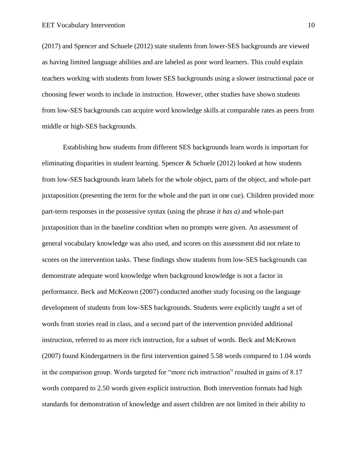(2017) and Spencer and Schuele (2012) state students from lower-SES backgrounds are viewed as having limited language abilities and are labeled as poor word learners. This could explain teachers working with students from lower SES backgrounds using a slower instructional pace or choosing fewer words to include in instruction. However, other studies have shown students from low-SES backgrounds can acquire word knowledge skills at comparable rates as peers from middle or high-SES backgrounds.

Establishing how students from different SES backgrounds learn words is important for eliminating disparities in student learning. Spencer & Schuele (2012) looked at how students from low-SES backgrounds learn labels for the whole object, parts of the object, and whole-part juxtaposition (presenting the term for the whole and the part in one cue). Children provided more part-term responses in the possessive syntax (using the phrase *it has a)* and whole-part juxtaposition than in the baseline condition when no prompts were given. An assessment of general vocabulary knowledge was also used, and scores on this assessment did not relate to scores on the intervention tasks. These findings show students from low-SES backgrounds can demonstrate adequate word knowledge when background knowledge is not a factor in performance. Beck and McKeown (2007) conducted another study focusing on the language development of students from low-SES backgrounds. Students were explicitly taught a set of words from stories read in class, and a second part of the intervention provided additional instruction, referred to as more rich instruction, for a subset of words. Beck and McKeown (2007) found Kindergartners in the first intervention gained 5.58 words compared to 1.04 words in the comparison group. Words targeted for "more rich instruction" resulted in gains of 8.17 words compared to 2.50 words given explicit instruction. Both intervention formats had high standards for demonstration of knowledge and assert children are not limited in their ability to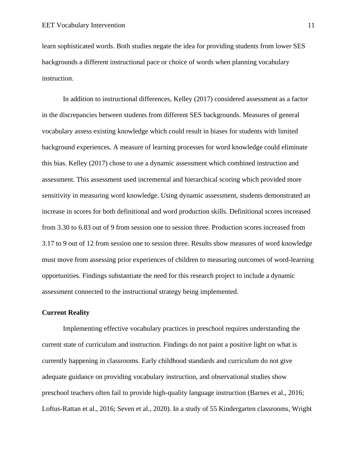learn sophisticated words. Both studies negate the idea for providing students from lower SES backgrounds a different instructional pace or choice of words when planning vocabulary instruction.

In addition to instructional differences, Kelley (2017) considered assessment as a factor in the discrepancies between students from different SES backgrounds. Measures of general vocabulary assess existing knowledge which could result in biases for students with limited background experiences. A measure of learning processes for word knowledge could eliminate this bias. Kelley (2017) chose to use a dynamic assessment which combined instruction and assessment. This assessment used incremental and hierarchical scoring which provided more sensitivity in measuring word knowledge. Using dynamic assessment, students demonstrated an increase in scores for both definitional and word production skills. Definitional scores increased from 3.30 to 6.83 out of 9 from session one to session three. Production scores increased from 3.17 to 9 out of 12 from session one to session three. Results show measures of word knowledge must move from assessing prior experiences of children to measuring outcomes of word-learning opportunities. Findings substantiate the need for this research project to include a dynamic assessment connected to the instructional strategy being implemented.

#### <span id="page-11-0"></span>**Current Reality**

Implementing effective vocabulary practices in preschool requires understanding the current state of curriculum and instruction. Findings do not paint a positive light on what is currently happening in classrooms. Early childhood standards and curriculum do not give adequate guidance on providing vocabulary instruction, and observational studies show preschool teachers often fail to provide high-quality language instruction (Barnes et al., 2016; Loftus-Rattan et al., 2016; Seven et al., 2020). In a study of 55 Kindergarten classrooms, Wright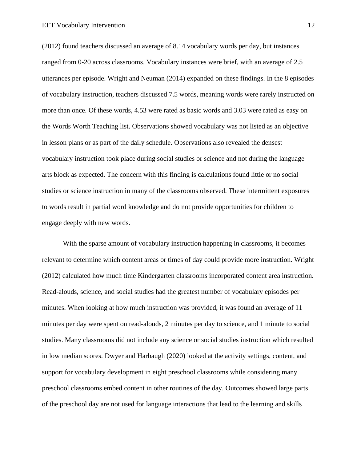(2012) found teachers discussed an average of 8.14 vocabulary words per day, but instances ranged from 0-20 across classrooms. Vocabulary instances were brief, with an average of 2.5 utterances per episode. Wright and Neuman (2014) expanded on these findings. In the 8 episodes of vocabulary instruction, teachers discussed 7.5 words, meaning words were rarely instructed on more than once. Of these words, 4.53 were rated as basic words and 3.03 were rated as easy on the Words Worth Teaching list. Observations showed vocabulary was not listed as an objective in lesson plans or as part of the daily schedule. Observations also revealed the densest vocabulary instruction took place during social studies or science and not during the language arts block as expected. The concern with this finding is calculations found little or no social studies or science instruction in many of the classrooms observed. These intermittent exposures to words result in partial word knowledge and do not provide opportunities for children to engage deeply with new words.

With the sparse amount of vocabulary instruction happening in classrooms, it becomes relevant to determine which content areas or times of day could provide more instruction. Wright (2012) calculated how much time Kindergarten classrooms incorporated content area instruction. Read-alouds, science, and social studies had the greatest number of vocabulary episodes per minutes. When looking at how much instruction was provided, it was found an average of 11 minutes per day were spent on read-alouds, 2 minutes per day to science, and 1 minute to social studies. Many classrooms did not include any science or social studies instruction which resulted in low median scores. Dwyer and Harbaugh (2020) looked at the activity settings, content, and support for vocabulary development in eight preschool classrooms while considering many preschool classrooms embed content in other routines of the day. Outcomes showed large parts of the preschool day are not used for language interactions that lead to the learning and skills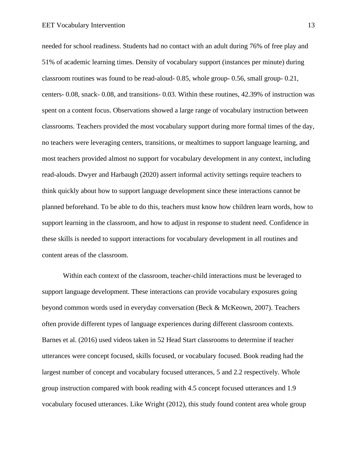needed for school readiness. Students had no contact with an adult during 76% of free play and 51% of academic learning times. Density of vocabulary support (instances per minute) during classroom routines was found to be read-aloud- 0.85, whole group- 0.56, small group- 0.21, centers- 0.08, snack- 0.08, and transitions- 0.03. Within these routines, 42.39% of instruction was spent on a content focus. Observations showed a large range of vocabulary instruction between classrooms. Teachers provided the most vocabulary support during more formal times of the day, no teachers were leveraging centers, transitions, or mealtimes to support language learning, and most teachers provided almost no support for vocabulary development in any context, including read-alouds. Dwyer and Harbaugh (2020) assert informal activity settings require teachers to think quickly about how to support language development since these interactions cannot be planned beforehand. To be able to do this, teachers must know how children learn words, how to support learning in the classroom, and how to adjust in response to student need. Confidence in these skills is needed to support interactions for vocabulary development in all routines and content areas of the classroom.

Within each context of the classroom, teacher-child interactions must be leveraged to support language development. These interactions can provide vocabulary exposures going beyond common words used in everyday conversation (Beck & McKeown, 2007). Teachers often provide different types of language experiences during different classroom contexts. Barnes et al. (2016) used videos taken in 52 Head Start classrooms to determine if teacher utterances were concept focused, skills focused, or vocabulary focused. Book reading had the largest number of concept and vocabulary focused utterances, 5 and 2.2 respectively. Whole group instruction compared with book reading with 4.5 concept focused utterances and 1.9 vocabulary focused utterances. Like Wright (2012), this study found content area whole group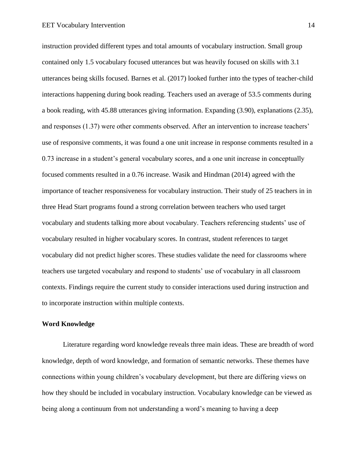instruction provided different types and total amounts of vocabulary instruction. Small group contained only 1.5 vocabulary focused utterances but was heavily focused on skills with 3.1 utterances being skills focused. Barnes et al. (2017) looked further into the types of teacher-child interactions happening during book reading. Teachers used an average of 53.5 comments during a book reading, with 45.88 utterances giving information. Expanding (3.90), explanations (2.35), and responses (1.37) were other comments observed. After an intervention to increase teachers' use of responsive comments, it was found a one unit increase in response comments resulted in a 0.73 increase in a student's general vocabulary scores, and a one unit increase in conceptually focused comments resulted in a 0.76 increase. Wasik and Hindman (2014) agreed with the importance of teacher responsiveness for vocabulary instruction. Their study of 25 teachers in in three Head Start programs found a strong correlation between teachers who used target vocabulary and students talking more about vocabulary. Teachers referencing students' use of vocabulary resulted in higher vocabulary scores. In contrast, student references to target vocabulary did not predict higher scores. These studies validate the need for classrooms where teachers use targeted vocabulary and respond to students' use of vocabulary in all classroom contexts. Findings require the current study to consider interactions used during instruction and to incorporate instruction within multiple contexts.

#### <span id="page-14-0"></span>**Word Knowledge**

Literature regarding word knowledge reveals three main ideas. These are breadth of word knowledge, depth of word knowledge, and formation of semantic networks. These themes have connections within young children's vocabulary development, but there are differing views on how they should be included in vocabulary instruction. Vocabulary knowledge can be viewed as being along a continuum from not understanding a word's meaning to having a deep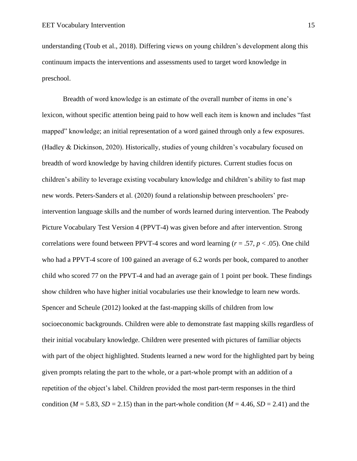understanding (Toub et al., 2018). Differing views on young children's development along this continuum impacts the interventions and assessments used to target word knowledge in preschool.

Breadth of word knowledge is an estimate of the overall number of items in one's lexicon, without specific attention being paid to how well each item is known and includes "fast mapped" knowledge; an initial representation of a word gained through only a few exposures. (Hadley & Dickinson, 2020). Historically, studies of young children's vocabulary focused on breadth of word knowledge by having children identify pictures. Current studies focus on children's ability to leverage existing vocabulary knowledge and children's ability to fast map new words. Peters-Sanders et al. (2020) found a relationship between preschoolers' preintervention language skills and the number of words learned during intervention. The Peabody Picture Vocabulary Test Version 4 (PPVT-4) was given before and after intervention. Strong correlations were found between PPVT-4 scores and word learning ( $r = .57$ ,  $p < .05$ ). One child who had a PPVT-4 score of 100 gained an average of 6.2 words per book, compared to another child who scored 77 on the PPVT-4 and had an average gain of 1 point per book. These findings show children who have higher initial vocabularies use their knowledge to learn new words. Spencer and Scheule (2012) looked at the fast-mapping skills of children from low socioeconomic backgrounds. Children were able to demonstrate fast mapping skills regardless of their initial vocabulary knowledge. Children were presented with pictures of familiar objects with part of the object highlighted. Students learned a new word for the highlighted part by being given prompts relating the part to the whole, or a part-whole prompt with an addition of a repetition of the object's label. Children provided the most part-term responses in the third condition ( $M = 5.83$ ,  $SD = 2.15$ ) than in the part-whole condition ( $M = 4.46$ ,  $SD = 2.41$ ) and the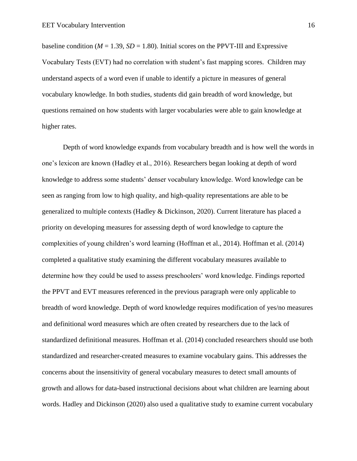baseline condition ( $M = 1.39$ ,  $SD = 1.80$ ). Initial scores on the PPVT-III and Expressive Vocabulary Tests (EVT) had no correlation with student's fast mapping scores. Children may understand aspects of a word even if unable to identify a picture in measures of general vocabulary knowledge. In both studies, students did gain breadth of word knowledge, but questions remained on how students with larger vocabularies were able to gain knowledge at higher rates.

Depth of word knowledge expands from vocabulary breadth and is how well the words in one's lexicon are known (Hadley et al., 2016). Researchers began looking at depth of word knowledge to address some students' denser vocabulary knowledge. Word knowledge can be seen as ranging from low to high quality, and high-quality representations are able to be generalized to multiple contexts (Hadley & Dickinson, 2020). Current literature has placed a priority on developing measures for assessing depth of word knowledge to capture the complexities of young children's word learning (Hoffman et al., 2014). Hoffman et al. (2014) completed a qualitative study examining the different vocabulary measures available to determine how they could be used to assess preschoolers' word knowledge. Findings reported the PPVT and EVT measures referenced in the previous paragraph were only applicable to breadth of word knowledge. Depth of word knowledge requires modification of yes/no measures and definitional word measures which are often created by researchers due to the lack of standardized definitional measures. Hoffman et al. (2014) concluded researchers should use both standardized and researcher-created measures to examine vocabulary gains. This addresses the concerns about the insensitivity of general vocabulary measures to detect small amounts of growth and allows for data-based instructional decisions about what children are learning about words. Hadley and Dickinson (2020) also used a qualitative study to examine current vocabulary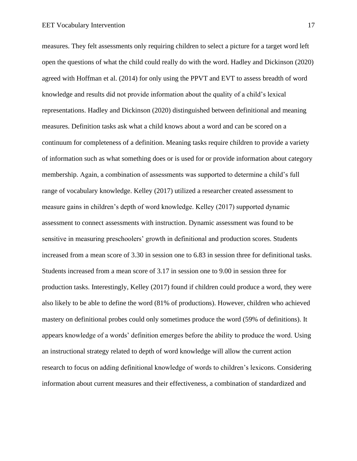measures. They felt assessments only requiring children to select a picture for a target word left open the questions of what the child could really do with the word. Hadley and Dickinson (2020) agreed with Hoffman et al. (2014) for only using the PPVT and EVT to assess breadth of word knowledge and results did not provide information about the quality of a child's lexical representations. Hadley and Dickinson (2020) distinguished between definitional and meaning measures. Definition tasks ask what a child knows about a word and can be scored on a continuum for completeness of a definition. Meaning tasks require children to provide a variety of information such as what something does or is used for or provide information about category membership. Again, a combination of assessments was supported to determine a child's full range of vocabulary knowledge. Kelley (2017) utilized a researcher created assessment to measure gains in children's depth of word knowledge. Kelley (2017) supported dynamic assessment to connect assessments with instruction. Dynamic assessment was found to be sensitive in measuring preschoolers' growth in definitional and production scores. Students increased from a mean score of 3.30 in session one to 6.83 in session three for definitional tasks. Students increased from a mean score of 3.17 in session one to 9.00 in session three for production tasks. Interestingly, Kelley (2017) found if children could produce a word, they were also likely to be able to define the word (81% of productions). However, children who achieved mastery on definitional probes could only sometimes produce the word (59% of definitions). It appears knowledge of a words' definition emerges before the ability to produce the word. Using an instructional strategy related to depth of word knowledge will allow the current action research to focus on adding definitional knowledge of words to children's lexicons. Considering information about current measures and their effectiveness, a combination of standardized and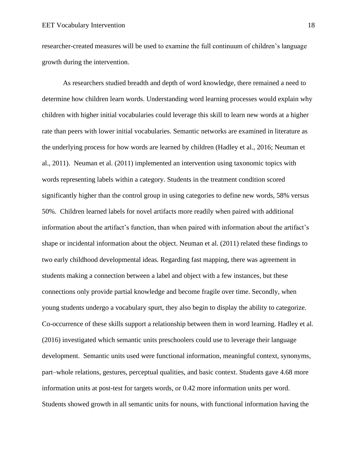researcher-created measures will be used to examine the full continuum of children's language growth during the intervention.

As researchers studied breadth and depth of word knowledge, there remained a need to determine how children learn words. Understanding word learning processes would explain why children with higher initial vocabularies could leverage this skill to learn new words at a higher rate than peers with lower initial vocabularies. Semantic networks are examined in literature as the underlying process for how words are learned by children (Hadley et al., 2016; Neuman et al., 2011). Neuman et al. (2011) implemented an intervention using taxonomic topics with words representing labels within a category. Students in the treatment condition scored significantly higher than the control group in using categories to define new words, 58% versus 50%. Children learned labels for novel artifacts more readily when paired with additional information about the artifact's function, than when paired with information about the artifact's shape or incidental information about the object. Neuman et al. (2011) related these findings to two early childhood developmental ideas. Regarding fast mapping, there was agreement in students making a connection between a label and object with a few instances, but these connections only provide partial knowledge and become fragile over time. Secondly, when young students undergo a vocabulary spurt, they also begin to display the ability to categorize. Co-occurrence of these skills support a relationship between them in word learning. Hadley et al. (2016) investigated which semantic units preschoolers could use to leverage their language development. Semantic units used were functional information, meaningful context, synonyms, part–whole relations, gestures, perceptual qualities, and basic context. Students gave 4.68 more information units at post-test for targets words, or 0.42 more information units per word. Students showed growth in all semantic units for nouns, with functional information having the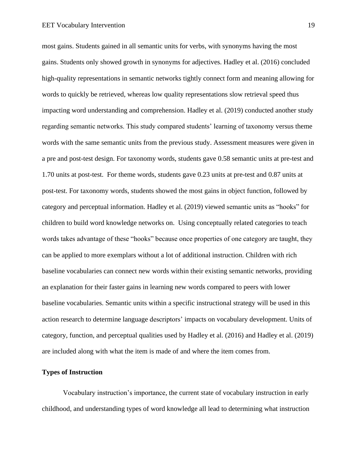most gains. Students gained in all semantic units for verbs, with synonyms having the most gains. Students only showed growth in synonyms for adjectives. Hadley et al. (2016) concluded high-quality representations in semantic networks tightly connect form and meaning allowing for words to quickly be retrieved, whereas low quality representations slow retrieval speed thus impacting word understanding and comprehension. Hadley et al. (2019) conducted another study regarding semantic networks. This study compared students' learning of taxonomy versus theme words with the same semantic units from the previous study. Assessment measures were given in a pre and post-test design. For taxonomy words, students gave 0.58 semantic units at pre-test and 1.70 units at post-test. For theme words, students gave 0.23 units at pre-test and 0.87 units at post-test. For taxonomy words, students showed the most gains in object function, followed by category and perceptual information. Hadley et al. (2019) viewed semantic units as "hooks" for children to build word knowledge networks on. Using conceptually related categories to teach words takes advantage of these "hooks" because once properties of one category are taught, they can be applied to more exemplars without a lot of additional instruction. Children with rich baseline vocabularies can connect new words within their existing semantic networks, providing an explanation for their faster gains in learning new words compared to peers with lower baseline vocabularies. Semantic units within a specific instructional strategy will be used in this action research to determine language descriptors' impacts on vocabulary development. Units of category, function, and perceptual qualities used by Hadley et al. (2016) and Hadley et al. (2019) are included along with what the item is made of and where the item comes from.

#### <span id="page-19-0"></span>**Types of Instruction**

Vocabulary instruction's importance, the current state of vocabulary instruction in early childhood, and understanding types of word knowledge all lead to determining what instruction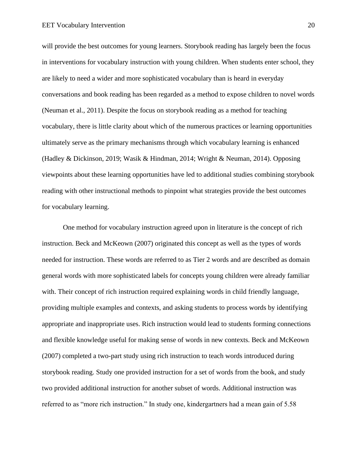will provide the best outcomes for young learners. Storybook reading has largely been the focus in interventions for vocabulary instruction with young children. When students enter school, they are likely to need a wider and more sophisticated vocabulary than is heard in everyday conversations and book reading has been regarded as a method to expose children to novel words (Neuman et al., 2011). Despite the focus on storybook reading as a method for teaching vocabulary, there is little clarity about which of the numerous practices or learning opportunities ultimately serve as the primary mechanisms through which vocabulary learning is enhanced (Hadley & Dickinson, 2019; Wasik & Hindman, 2014; Wright & Neuman, 2014). Opposing viewpoints about these learning opportunities have led to additional studies combining storybook reading with other instructional methods to pinpoint what strategies provide the best outcomes for vocabulary learning.

One method for vocabulary instruction agreed upon in literature is the concept of rich instruction. Beck and McKeown (2007) originated this concept as well as the types of words needed for instruction. These words are referred to as Tier 2 words and are described as domain general words with more sophisticated labels for concepts young children were already familiar with. Their concept of rich instruction required explaining words in child friendly language, providing multiple examples and contexts, and asking students to process words by identifying appropriate and inappropriate uses. Rich instruction would lead to students forming connections and flexible knowledge useful for making sense of words in new contexts. Beck and McKeown (2007) completed a two-part study using rich instruction to teach words introduced during storybook reading. Study one provided instruction for a set of words from the book, and study two provided additional instruction for another subset of words. Additional instruction was referred to as "more rich instruction." In study one, kindergartners had a mean gain of 5.58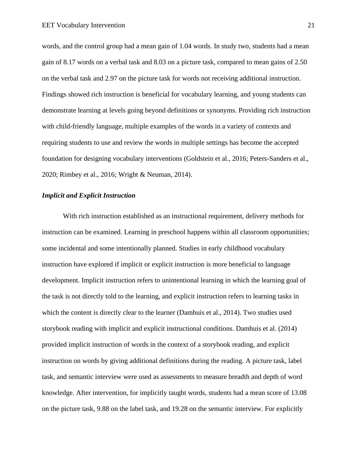words, and the control group had a mean gain of 1.04 words. In study two, students had a mean gain of 8.17 words on a verbal task and 8.03 on a picture task, compared to mean gains of 2.50 on the verbal task and 2.97 on the picture task for words not receiving additional instruction. Findings showed rich instruction is beneficial for vocabulary learning, and young students can demonstrate learning at levels going beyond definitions or synonyms. Providing rich instruction with child-friendly language, multiple examples of the words in a variety of contexts and requiring students to use and review the words in multiple settings has become the accepted foundation for designing vocabulary interventions (Goldstein et al., 2016; Peters-Sanders et al., 2020; Rimbey et al., 2016; Wright & Neuman, 2014).

#### *Implicit and Explicit Instruction*

With rich instruction established as an instructional requirement, delivery methods for instruction can be examined. Learning in preschool happens within all classroom opportunities; some incidental and some intentionally planned. Studies in early childhood vocabulary instruction have explored if implicit or explicit instruction is more beneficial to language development. Implicit instruction refers to unintentional learning in which the learning goal of the task is not directly told to the learning, and explicit instruction refers to learning tasks in which the content is directly clear to the learner (Damhuis et al., 2014). Two studies used storybook reading with implicit and explicit instructional conditions. Damhuis et al. (2014) provided implicit instruction of words in the context of a storybook reading, and explicit instruction on words by giving additional definitions during the reading. A picture task, label task, and semantic interview were used as assessments to measure breadth and depth of word knowledge. After intervention, for implicitly taught words, students had a mean score of 13.08 on the picture task, 9.88 on the label task, and 19.28 on the semantic interview. For explicitly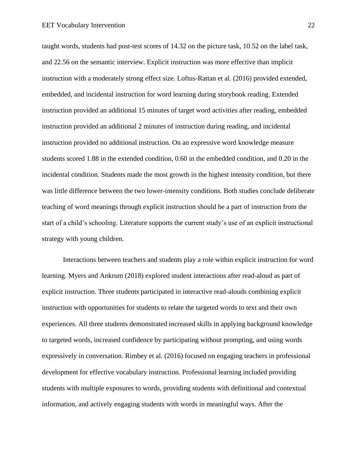taught words, students had post-test scores of 14.32 on the picture task, 10.52 on the label task, and 22.56 on the semantic interview. Explicit instruction was more effective than implicit instruction with a moderately strong effect size. Loftus-Rattan et al. (2016) provided extended, embedded, and incidental instruction for word learning during storybook reading. Extended instruction provided an additional 15 minutes of target word activities after reading, embedded instruction provided an additional 2 minutes of instruction during reading, and incidental instruction provided no additional instruction. On an expressive word knowledge measure students scored 1.88 in the extended condition, 0.60 in the embedded condition, and 0.20 in the incidental condition. Students made the most growth in the highest intensity condition, but there was little difference between the two lower-intensity conditions. Both studies conclude deliberate teaching of word meanings through explicit instruction should be a part of instruction from the start of a child's schooling. Literature supports the current study's use of an explicit instructional strategy with young children.

Interactions between teachers and students play a role within explicit instruction for word learning. Myers and Ankrum (2018) explored student interactions after read-aloud as part of explicit instruction. Three students participated in interactive read-alouds combining explicit instruction with opportunities for students to relate the targeted words to text and their own experiences. All three students demonstrated increased skills in applying background knowledge to targeted words, increased confidence by participating without prompting, and using words expressively in conversation. Rimbey et al. (2016) focused on engaging teachers in professional development for effective vocabulary instruction. Professional learning included providing students with multiple exposures to words, providing students with definitional and contextual information, and actively engaging students with words in meaningful ways. After the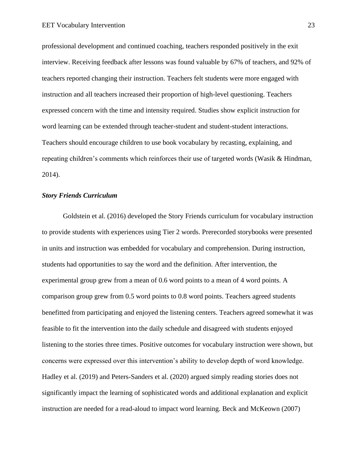professional development and continued coaching, teachers responded positively in the exit interview. Receiving feedback after lessons was found valuable by 67% of teachers, and 92% of teachers reported changing their instruction. Teachers felt students were more engaged with instruction and all teachers increased their proportion of high-level questioning. Teachers expressed concern with the time and intensity required. Studies show explicit instruction for word learning can be extended through teacher-student and student-student interactions. Teachers should encourage children to use book vocabulary by recasting, explaining, and repeating children's comments which reinforces their use of targeted words (Wasik & Hindman, 2014).

#### *Story Friends Curriculum*

Goldstein et al. (2016) developed the Story Friends curriculum for vocabulary instruction to provide students with experiences using Tier 2 words. Prerecorded storybooks were presented in units and instruction was embedded for vocabulary and comprehension. During instruction, students had opportunities to say the word and the definition. After intervention, the experimental group grew from a mean of 0.6 word points to a mean of 4 word points. A comparison group grew from 0.5 word points to 0.8 word points. Teachers agreed students benefitted from participating and enjoyed the listening centers. Teachers agreed somewhat it was feasible to fit the intervention into the daily schedule and disagreed with students enjoyed listening to the stories three times. Positive outcomes for vocabulary instruction were shown, but concerns were expressed over this intervention's ability to develop depth of word knowledge. Hadley et al. (2019) and Peters-Sanders et al. (2020) argued simply reading stories does not significantly impact the learning of sophisticated words and additional explanation and explicit instruction are needed for a read-aloud to impact word learning. Beck and McKeown (2007)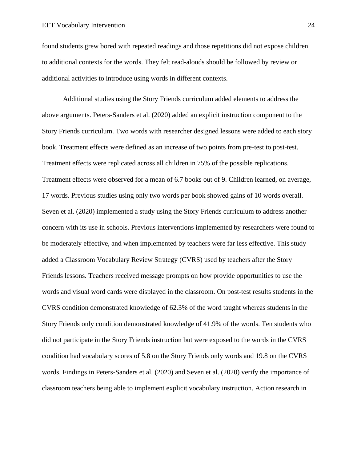found students grew bored with repeated readings and those repetitions did not expose children to additional contexts for the words. They felt read-alouds should be followed by review or additional activities to introduce using words in different contexts.

Additional studies using the Story Friends curriculum added elements to address the above arguments. Peters-Sanders et al. (2020) added an explicit instruction component to the Story Friends curriculum. Two words with researcher designed lessons were added to each story book. Treatment effects were defined as an increase of two points from pre-test to post-test. Treatment effects were replicated across all children in 75% of the possible replications. Treatment effects were observed for a mean of 6.7 books out of 9. Children learned, on average, 17 words. Previous studies using only two words per book showed gains of 10 words overall. Seven et al. (2020) implemented a study using the Story Friends curriculum to address another concern with its use in schools. Previous interventions implemented by researchers were found to be moderately effective, and when implemented by teachers were far less effective. This study added a Classroom Vocabulary Review Strategy (CVRS) used by teachers after the Story Friends lessons. Teachers received message prompts on how provide opportunities to use the words and visual word cards were displayed in the classroom. On post-test results students in the CVRS condition demonstrated knowledge of 62.3% of the word taught whereas students in the Story Friends only condition demonstrated knowledge of 41.9% of the words. Ten students who did not participate in the Story Friends instruction but were exposed to the words in the CVRS condition had vocabulary scores of 5.8 on the Story Friends only words and 19.8 on the CVRS words. Findings in Peters-Sanders et al. (2020) and Seven et al. (2020) verify the importance of classroom teachers being able to implement explicit vocabulary instruction. Action research in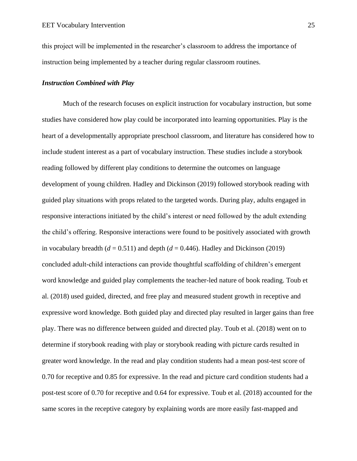this project will be implemented in the researcher's classroom to address the importance of instruction being implemented by a teacher during regular classroom routines.

#### *Instruction Combined with Play*

Much of the research focuses on explicit instruction for vocabulary instruction, but some studies have considered how play could be incorporated into learning opportunities. Play is the heart of a developmentally appropriate preschool classroom, and literature has considered how to include student interest as a part of vocabulary instruction. These studies include a storybook reading followed by different play conditions to determine the outcomes on language development of young children. Hadley and Dickinson (2019) followed storybook reading with guided play situations with props related to the targeted words. During play, adults engaged in responsive interactions initiated by the child's interest or need followed by the adult extending the child's offering. Responsive interactions were found to be positively associated with growth in vocabulary breadth  $(d = 0.511)$  and depth  $(d = 0.446)$ . Hadley and Dickinson (2019) concluded adult-child interactions can provide thoughtful scaffolding of children's emergent word knowledge and guided play complements the teacher-led nature of book reading. Toub et al. (2018) used guided, directed, and free play and measured student growth in receptive and expressive word knowledge. Both guided play and directed play resulted in larger gains than free play. There was no difference between guided and directed play. Toub et al. (2018) went on to determine if storybook reading with play or storybook reading with picture cards resulted in greater word knowledge. In the read and play condition students had a mean post-test score of 0.70 for receptive and 0.85 for expressive. In the read and picture card condition students had a post-test score of 0.70 for receptive and 0.64 for expressive. Toub et al. (2018) accounted for the same scores in the receptive category by explaining words are more easily fast-mapped and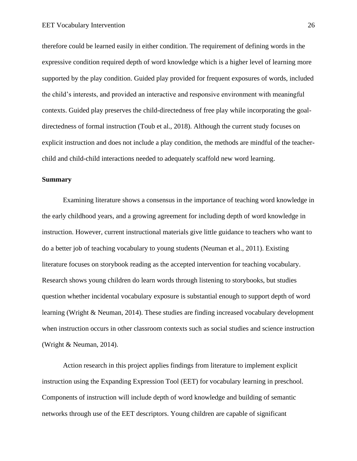therefore could be learned easily in either condition. The requirement of defining words in the expressive condition required depth of word knowledge which is a higher level of learning more supported by the play condition. Guided play provided for frequent exposures of words, included the child's interests, and provided an interactive and responsive environment with meaningful contexts. Guided play preserves the child-directedness of free play while incorporating the goaldirectedness of formal instruction (Toub et al., 2018). Although the current study focuses on explicit instruction and does not include a play condition, the methods are mindful of the teacherchild and child-child interactions needed to adequately scaffold new word learning.

#### <span id="page-26-0"></span>**Summary**

Examining literature shows a consensus in the importance of teaching word knowledge in the early childhood years, and a growing agreement for including depth of word knowledge in instruction. However, current instructional materials give little guidance to teachers who want to do a better job of teaching vocabulary to young students (Neuman et al., 2011). Existing literature focuses on storybook reading as the accepted intervention for teaching vocabulary. Research shows young children do learn words through listening to storybooks, but studies question whether incidental vocabulary exposure is substantial enough to support depth of word learning (Wright & Neuman, 2014). These studies are finding increased vocabulary development when instruction occurs in other classroom contexts such as social studies and science instruction (Wright & Neuman, 2014).

Action research in this project applies findings from literature to implement explicit instruction using the Expanding Expression Tool (EET) for vocabulary learning in preschool. Components of instruction will include depth of word knowledge and building of semantic networks through use of the EET descriptors. Young children are capable of significant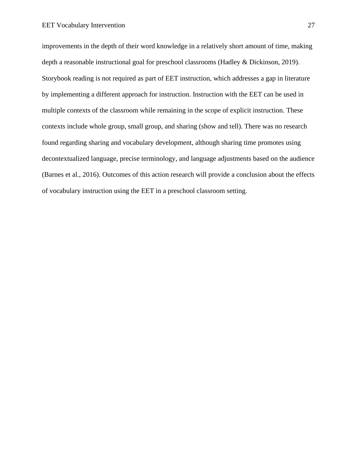improvements in the depth of their word knowledge in a relatively short amount of time, making depth a reasonable instructional goal for preschool classrooms (Hadley & Dickinson, 2019). Storybook reading is not required as part of EET instruction, which addresses a gap in literature by implementing a different approach for instruction. Instruction with the EET can be used in multiple contexts of the classroom while remaining in the scope of explicit instruction. These contexts include whole group, small group, and sharing (show and tell). There was no research found regarding sharing and vocabulary development, although sharing time promotes using decontextualized language, precise terminology, and language adjustments based on the audience (Barnes et al., 2016). Outcomes of this action research will provide a conclusion about the effects of vocabulary instruction using the EET in a preschool classroom setting.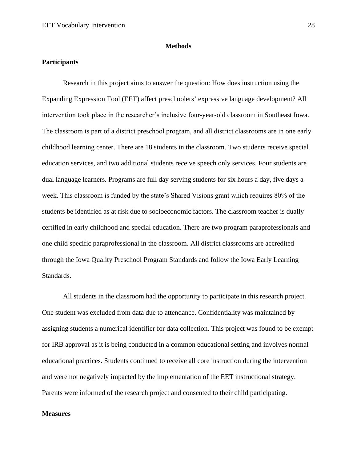#### **Methods**

#### <span id="page-28-1"></span><span id="page-28-0"></span>**Participants**

Research in this project aims to answer the question: How does instruction using the Expanding Expression Tool (EET) affect preschoolers' expressive language development? All intervention took place in the researcher's inclusive four-year-old classroom in Southeast Iowa. The classroom is part of a district preschool program, and all district classrooms are in one early childhood learning center. There are 18 students in the classroom. Two students receive special education services, and two additional students receive speech only services. Four students are dual language learners. Programs are full day serving students for six hours a day, five days a week. This classroom is funded by the state's Shared Visions grant which requires 80% of the students be identified as at risk due to socioeconomic factors. The classroom teacher is dually certified in early childhood and special education. There are two program paraprofessionals and one child specific paraprofessional in the classroom. All district classrooms are accredited through the Iowa Quality Preschool Program Standards and follow the Iowa Early Learning Standards.

All students in the classroom had the opportunity to participate in this research project. One student was excluded from data due to attendance. Confidentiality was maintained by assigning students a numerical identifier for data collection. This project was found to be exempt for IRB approval as it is being conducted in a common educational setting and involves normal educational practices. Students continued to receive all core instruction during the intervention and were not negatively impacted by the implementation of the EET instructional strategy. Parents were informed of the research project and consented to their child participating.

#### **Measures**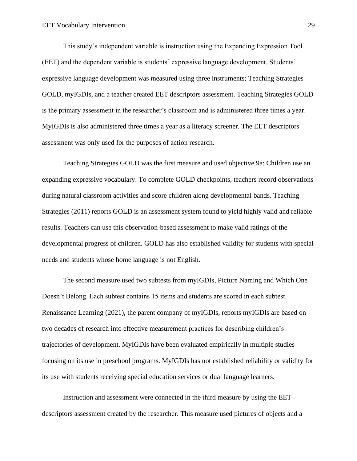This study's independent variable is instruction using the Expanding Expression Tool (EET) and the dependent variable is students' expressive language development. Students' expressive language development was measured using three instruments; Teaching Strategies GOLD, myIGDIs, and a teacher created EET descriptors assessment. Teaching Strategies GOLD is the primary assessment in the researcher's classroom and is administered three times a year. MyIGDIs is also administered three times a year as a literacy screener. The EET descriptors assessment was only used for the purposes of action research.

Teaching Strategies GOLD was the first measure and used objective 9a: Children use an expanding expressive vocabulary. To complete GOLD checkpoints, teachers record observations during natural classroom activities and score children along developmental bands. Teaching Strategies (2011) reports GOLD is an assessment system found to yield highly valid and reliable results. Teachers can use this observation-based assessment to make valid ratings of the developmental progress of children. GOLD has also established validity for students with special needs and students whose home language is not English.

The second measure used two subtests from myIGDIs, Picture Naming and Which One Doesn't Belong. Each subtest contains 15 items and students are scored in each subtest. Renaissance Learning (2021), the parent company of myIGDIs, reports myIGDIs are based on two decades of research into effective measurement practices for describing children's trajectories of development. MyIGDIs have been evaluated empirically in multiple studies focusing on its use in preschool programs. MyIGDIs has not established reliability or validity for its use with students receiving special education services or dual language learners.

Instruction and assessment were connected in the third measure by using the EET descriptors assessment created by the researcher. This measure used pictures of objects and a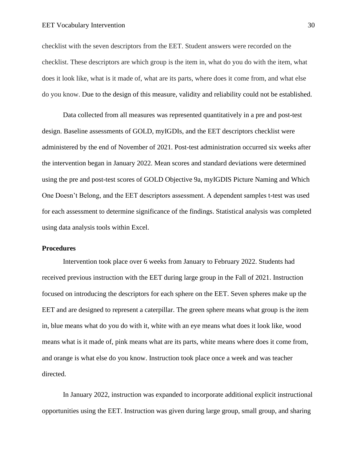checklist with the seven descriptors from the EET. Student answers were recorded on the checklist. These descriptors are which group is the item in, what do you do with the item, what does it look like, what is it made of, what are its parts, where does it come from, and what else do you know. Due to the design of this measure, validity and reliability could not be established.

Data collected from all measures was represented quantitatively in a pre and post-test design. Baseline assessments of GOLD, myIGDIs, and the EET descriptors checklist were administered by the end of November of 2021. Post-test administration occurred six weeks after the intervention began in January 2022. Mean scores and standard deviations were determined using the pre and post-test scores of GOLD Objective 9a, myIGDIS Picture Naming and Which One Doesn't Belong, and the EET descriptors assessment. A dependent samples t-test was used for each assessment to determine significance of the findings. Statistical analysis was completed using data analysis tools within Excel.

#### **Procedures**

Intervention took place over 6 weeks from January to February 2022. Students had received previous instruction with the EET during large group in the Fall of 2021. Instruction focused on introducing the descriptors for each sphere on the EET. Seven spheres make up the EET and are designed to represent a caterpillar. The green sphere means what group is the item in, blue means what do you do with it, white with an eye means what does it look like, wood means what is it made of, pink means what are its parts, white means where does it come from, and orange is what else do you know. Instruction took place once a week and was teacher directed.

In January 2022, instruction was expanded to incorporate additional explicit instructional opportunities using the EET. Instruction was given during large group, small group, and sharing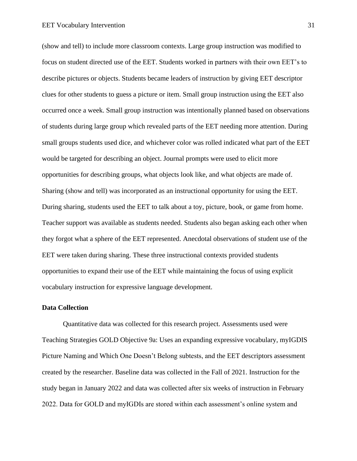(show and tell) to include more classroom contexts. Large group instruction was modified to focus on student directed use of the EET. Students worked in partners with their own EET's to describe pictures or objects. Students became leaders of instruction by giving EET descriptor clues for other students to guess a picture or item. Small group instruction using the EET also occurred once a week. Small group instruction was intentionally planned based on observations of students during large group which revealed parts of the EET needing more attention. During small groups students used dice, and whichever color was rolled indicated what part of the EET would be targeted for describing an object. Journal prompts were used to elicit more opportunities for describing groups, what objects look like, and what objects are made of. Sharing (show and tell) was incorporated as an instructional opportunity for using the EET. During sharing, students used the EET to talk about a toy, picture, book, or game from home. Teacher support was available as students needed. Students also began asking each other when they forgot what a sphere of the EET represented. Anecdotal observations of student use of the EET were taken during sharing. These three instructional contexts provided students opportunities to expand their use of the EET while maintaining the focus of using explicit vocabulary instruction for expressive language development.

#### <span id="page-31-0"></span>**Data Collection**

Quantitative data was collected for this research project. Assessments used were Teaching Strategies GOLD Objective 9a: Uses an expanding expressive vocabulary, myIGDIS Picture Naming and Which One Doesn't Belong subtests, and the EET descriptors assessment created by the researcher. Baseline data was collected in the Fall of 2021. Instruction for the study began in January 2022 and data was collected after six weeks of instruction in February 2022. Data for GOLD and myIGDIs are stored within each assessment's online system and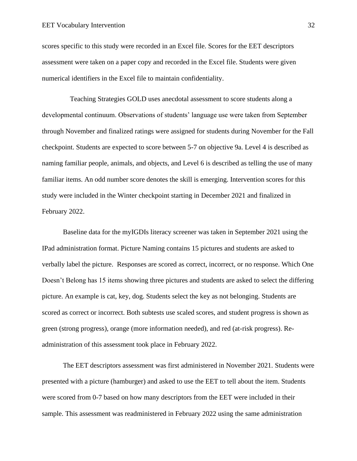scores specific to this study were recorded in an Excel file. Scores for the EET descriptors assessment were taken on a paper copy and recorded in the Excel file. Students were given numerical identifiers in the Excel file to maintain confidentiality.

 Teaching Strategies GOLD uses anecdotal assessment to score students along a developmental continuum. Observations of students' language use were taken from September through November and finalized ratings were assigned for students during November for the Fall checkpoint. Students are expected to score between 5-7 on objective 9a. Level 4 is described as naming familiar people, animals, and objects, and Level 6 is described as telling the use of many familiar items. An odd number score denotes the skill is emerging. Intervention scores for this study were included in the Winter checkpoint starting in December 2021 and finalized in February 2022.

Baseline data for the myIGDIs literacy screener was taken in September 2021 using the IPad administration format. Picture Naming contains 15 pictures and students are asked to verbally label the picture. Responses are scored as correct, incorrect, or no response. Which One Doesn't Belong has 15 items showing three pictures and students are asked to select the differing picture. An example is cat, key, dog. Students select the key as not belonging. Students are scored as correct or incorrect. Both subtests use scaled scores, and student progress is shown as green (strong progress), orange (more information needed), and red (at-risk progress). Readministration of this assessment took place in February 2022.

The EET descriptors assessment was first administered in November 2021. Students were presented with a picture (hamburger) and asked to use the EET to tell about the item. Students were scored from 0-7 based on how many descriptors from the EET were included in their sample. This assessment was readministered in February 2022 using the same administration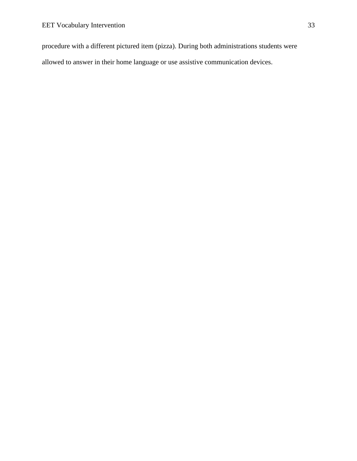procedure with a different pictured item (pizza). During both administrations students were allowed to answer in their home language or use assistive communication devices.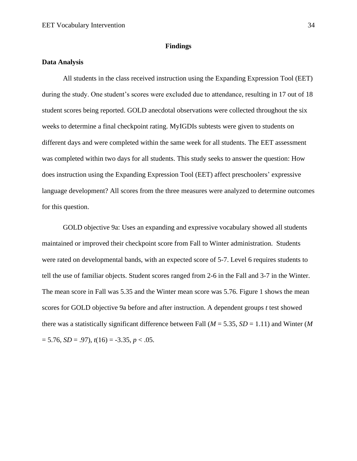#### **Findings**

#### <span id="page-34-1"></span><span id="page-34-0"></span>**Data Analysis**

All students in the class received instruction using the Expanding Expression Tool (EET) during the study. One student's scores were excluded due to attendance, resulting in 17 out of 18 student scores being reported. GOLD anecdotal observations were collected throughout the six weeks to determine a final checkpoint rating. MyIGDIs subtests were given to students on different days and were completed within the same week for all students. The EET assessment was completed within two days for all students. This study seeks to answer the question: How does instruction using the Expanding Expression Tool (EET) affect preschoolers' expressive language development? All scores from the three measures were analyzed to determine outcomes for this question.

GOLD objective 9a: Uses an expanding and expressive vocabulary showed all students maintained or improved their checkpoint score from Fall to Winter administration. Students were rated on developmental bands, with an expected score of 5-7. Level 6 requires students to tell the use of familiar objects. Student scores ranged from 2-6 in the Fall and 3-7 in the Winter. The mean score in Fall was 5.35 and the Winter mean score was 5.76. Figure 1 shows the mean scores for GOLD objective 9a before and after instruction. A dependent groups *t* test showed there was a statistically significant difference between Fall ( $M = 5.35$ ,  $SD = 1.11$ ) and Winter ( $M$  $= 5.76$ , *SD* = .97),  $t(16) = -3.35$ ,  $p < .05$ .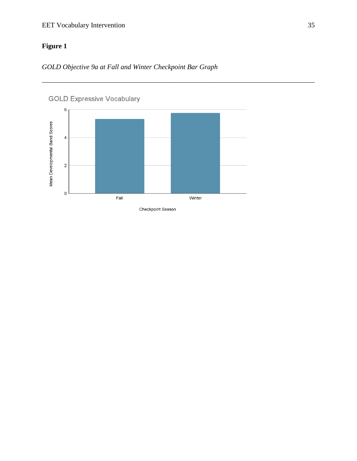### EET Vocabulary Intervention 35

## <span id="page-35-0"></span>**Figure 1**

*GOLD Objective 9a at Fall and Winter Checkpoint Bar Graph*



\_\_\_\_\_\_\_\_\_\_\_\_\_\_\_\_\_\_\_\_\_\_\_\_\_\_\_\_\_\_\_\_\_\_\_\_\_\_\_\_\_\_\_\_\_\_\_\_\_\_\_\_\_\_\_\_\_\_\_\_\_\_\_\_\_\_\_\_\_\_\_\_\_\_\_\_\_\_

Checkpoint Season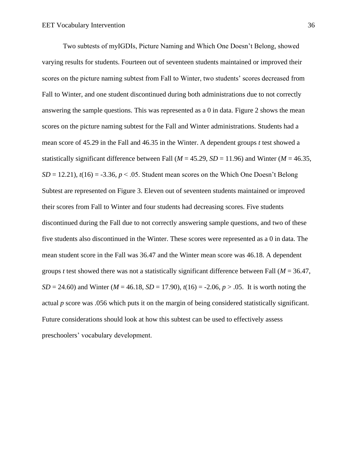Two subtests of myIGDIs, Picture Naming and Which One Doesn't Belong, showed varying results for students. Fourteen out of seventeen students maintained or improved their scores on the picture naming subtest from Fall to Winter, two students' scores decreased from Fall to Winter, and one student discontinued during both administrations due to not correctly answering the sample questions. This was represented as a 0 in data. Figure 2 shows the mean scores on the picture naming subtest for the Fall and Winter administrations. Students had a mean score of 45.29 in the Fall and 46.35 in the Winter. A dependent groups *t* test showed a statistically significant difference between Fall ( $M = 45.29$ ,  $SD = 11.96$ ) and Winter ( $M = 46.35$ ,  $SD = 12.21$ ,  $t(16) = -3.36$ ,  $p < .05$ . Student mean scores on the Which One Doesn't Belong Subtest are represented on Figure 3. Eleven out of seventeen students maintained or improved their scores from Fall to Winter and four students had decreasing scores. Five students discontinued during the Fall due to not correctly answering sample questions, and two of these five students also discontinued in the Winter. These scores were represented as a 0 in data. The mean student score in the Fall was 36.47 and the Winter mean score was 46.18. A dependent groups *t* test showed there was not a statistically significant difference between Fall (*M* = 36.47, *SD* = 24.60) and Winter (*M* = 46.18, *SD* = 17.90),  $t(16)$  = -2.06,  $p > .05$ . It is worth noting the actual *p* score was .056 which puts it on the margin of being considered statistically significant. Future considerations should look at how this subtest can be used to effectively assess preschoolers' vocabulary development.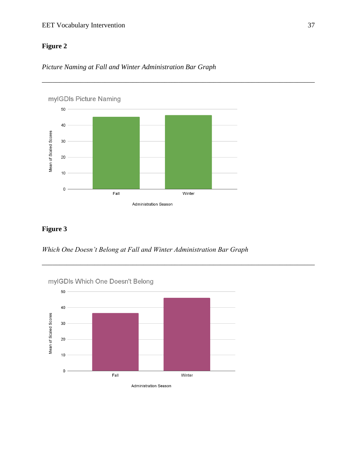#### EET Vocabulary Intervention 37

### <span id="page-37-0"></span>**Figure 2**



\_\_\_\_\_\_\_\_\_\_\_\_\_\_\_\_\_\_\_\_\_\_\_\_\_\_\_\_\_\_\_\_\_\_\_\_\_\_\_\_\_\_\_\_\_\_\_\_\_\_\_\_\_\_\_\_\_\_\_\_\_\_\_\_\_\_\_\_\_\_\_\_\_\_\_\_\_\_



### <span id="page-37-1"></span>**Figure 3**

*Which One Doesn't Belong at Fall and Winter Administration Bar Graph*

\_\_\_\_\_\_\_\_\_\_\_\_\_\_\_\_\_\_\_\_\_\_\_\_\_\_\_\_\_\_\_\_\_\_\_\_\_\_\_\_\_\_\_\_\_\_\_\_\_\_\_\_\_\_\_\_\_\_\_\_\_\_\_\_\_\_\_\_\_\_\_\_\_\_\_\_\_\_



Administration Season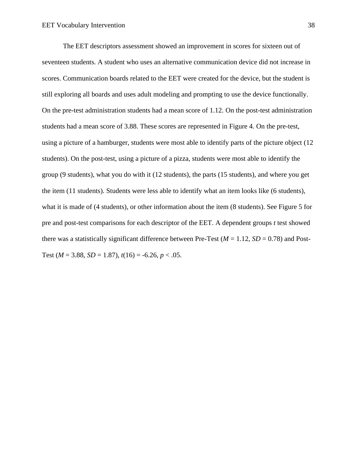The EET descriptors assessment showed an improvement in scores for sixteen out of seventeen students. A student who uses an alternative communication device did not increase in scores. Communication boards related to the EET were created for the device, but the student is still exploring all boards and uses adult modeling and prompting to use the device functionally. On the pre-test administration students had a mean score of 1.12. On the post-test administration students had a mean score of 3.88. These scores are represented in Figure 4. On the pre-test, using a picture of a hamburger, students were most able to identify parts of the picture object (12 students). On the post-test, using a picture of a pizza, students were most able to identify the group (9 students), what you do with it (12 students), the parts (15 students), and where you get the item (11 students). Students were less able to identify what an item looks like (6 students), what it is made of (4 students), or other information about the item (8 students). See Figure 5 for pre and post-test comparisons for each descriptor of the EET. A dependent groups *t* test showed there was a statistically significant difference between Pre-Test ( $M = 1.12$ ,  $SD = 0.78$ ) and Post-Test ( $M = 3.88$ ,  $SD = 1.87$ ),  $t(16) = -6.26$ ,  $p < .05$ .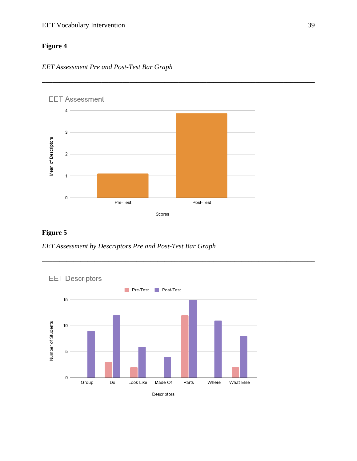#### EET Vocabulary Intervention 39

### <span id="page-39-0"></span>**Figure 4**





\_\_\_\_\_\_\_\_\_\_\_\_\_\_\_\_\_\_\_\_\_\_\_\_\_\_\_\_\_\_\_\_\_\_\_\_\_\_\_\_\_\_\_\_\_\_\_\_\_\_\_\_\_\_\_\_\_\_\_\_\_\_\_\_\_\_\_\_\_\_\_\_\_\_\_\_\_\_

\_\_\_\_\_\_\_\_\_\_\_\_\_\_\_\_\_\_\_\_\_\_\_\_\_\_\_\_\_\_\_\_\_\_\_\_\_\_\_\_\_\_\_\_\_\_\_\_\_\_\_\_\_\_\_\_\_\_\_\_\_\_\_\_\_\_\_\_\_\_\_\_\_\_\_\_\_\_

### <span id="page-39-1"></span>**Figure 5**

*EET Assessment by Descriptors Pre and Post-Test Bar Graph*

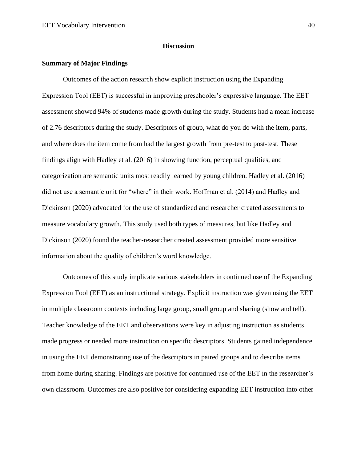#### **Discussion**

#### <span id="page-40-1"></span><span id="page-40-0"></span>**Summary of Major Findings**

Outcomes of the action research show explicit instruction using the Expanding Expression Tool (EET) is successful in improving preschooler's expressive language. The EET assessment showed 94% of students made growth during the study. Students had a mean increase of 2.76 descriptors during the study. Descriptors of group, what do you do with the item, parts, and where does the item come from had the largest growth from pre-test to post-test. These findings align with Hadley et al. (2016) in showing function, perceptual qualities, and categorization are semantic units most readily learned by young children. Hadley et al. (2016) did not use a semantic unit for "where" in their work. Hoffman et al. (2014) and Hadley and Dickinson (2020) advocated for the use of standardized and researcher created assessments to measure vocabulary growth. This study used both types of measures, but like Hadley and Dickinson (2020) found the teacher-researcher created assessment provided more sensitive information about the quality of children's word knowledge.

Outcomes of this study implicate various stakeholders in continued use of the Expanding Expression Tool (EET) as an instructional strategy. Explicit instruction was given using the EET in multiple classroom contexts including large group, small group and sharing (show and tell). Teacher knowledge of the EET and observations were key in adjusting instruction as students made progress or needed more instruction on specific descriptors. Students gained independence in using the EET demonstrating use of the descriptors in paired groups and to describe items from home during sharing. Findings are positive for continued use of the EET in the researcher's own classroom. Outcomes are also positive for considering expanding EET instruction into other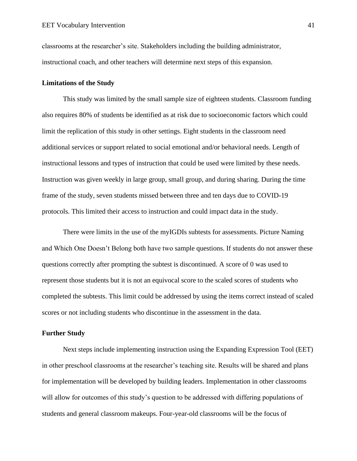classrooms at the researcher's site. Stakeholders including the building administrator, instructional coach, and other teachers will determine next steps of this expansion.

#### <span id="page-41-0"></span>**Limitations of the Study**

This study was limited by the small sample size of eighteen students. Classroom funding also requires 80% of students be identified as at risk due to socioeconomic factors which could limit the replication of this study in other settings. Eight students in the classroom need additional services or support related to social emotional and/or behavioral needs. Length of instructional lessons and types of instruction that could be used were limited by these needs. Instruction was given weekly in large group, small group, and during sharing. During the time frame of the study, seven students missed between three and ten days due to COVID-19 protocols. This limited their access to instruction and could impact data in the study.

There were limits in the use of the myIGDIs subtests for assessments. Picture Naming and Which One Doesn't Belong both have two sample questions. If students do not answer these questions correctly after prompting the subtest is discontinued. A score of 0 was used to represent those students but it is not an equivocal score to the scaled scores of students who completed the subtests. This limit could be addressed by using the items correct instead of scaled scores or not including students who discontinue in the assessment in the data.

#### <span id="page-41-1"></span>**Further Study**

Next steps include implementing instruction using the Expanding Expression Tool (EET) in other preschool classrooms at the researcher's teaching site. Results will be shared and plans for implementation will be developed by building leaders. Implementation in other classrooms will allow for outcomes of this study's question to be addressed with differing populations of students and general classroom makeups. Four-year-old classrooms will be the focus of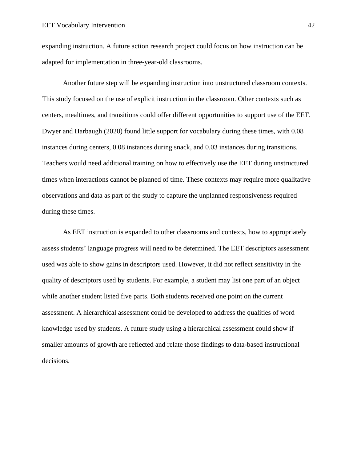expanding instruction. A future action research project could focus on how instruction can be adapted for implementation in three-year-old classrooms.

Another future step will be expanding instruction into unstructured classroom contexts. This study focused on the use of explicit instruction in the classroom. Other contexts such as centers, mealtimes, and transitions could offer different opportunities to support use of the EET. Dwyer and Harbaugh (2020) found little support for vocabulary during these times, with 0.08 instances during centers, 0.08 instances during snack, and 0.03 instances during transitions. Teachers would need additional training on how to effectively use the EET during unstructured times when interactions cannot be planned of time. These contexts may require more qualitative observations and data as part of the study to capture the unplanned responsiveness required during these times.

As EET instruction is expanded to other classrooms and contexts, how to appropriately assess students' language progress will need to be determined. The EET descriptors assessment used was able to show gains in descriptors used. However, it did not reflect sensitivity in the quality of descriptors used by students. For example, a student may list one part of an object while another student listed five parts. Both students received one point on the current assessment. A hierarchical assessment could be developed to address the qualities of word knowledge used by students. A future study using a hierarchical assessment could show if smaller amounts of growth are reflected and relate those findings to data-based instructional decisions.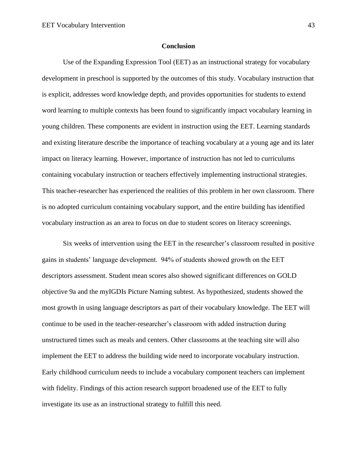#### **Conclusion**

<span id="page-43-0"></span>Use of the Expanding Expression Tool (EET) as an instructional strategy for vocabulary development in preschool is supported by the outcomes of this study. Vocabulary instruction that is explicit, addresses word knowledge depth, and provides opportunities for students to extend word learning to multiple contexts has been found to significantly impact vocabulary learning in young children. These components are evident in instruction using the EET. Learning standards and existing literature describe the importance of teaching vocabulary at a young age and its later impact on literacy learning. However, importance of instruction has not led to curriculums containing vocabulary instruction or teachers effectively implementing instructional strategies. This teacher-researcher has experienced the realities of this problem in her own classroom. There is no adopted curriculum containing vocabulary support, and the entire building has identified vocabulary instruction as an area to focus on due to student scores on literacy screenings.

Six weeks of intervention using the EET in the researcher's classroom resulted in positive gains in students' language development. 94% of students showed growth on the EET descriptors assessment. Student mean scores also showed significant differences on GOLD objective 9a and the myIGDIs Picture Naming subtest. As hypothesized, students showed the most growth in using language descriptors as part of their vocabulary knowledge. The EET will continue to be used in the teacher-researcher's classroom with added instruction during unstructured times such as meals and centers. Other classrooms at the teaching site will also implement the EET to address the building wide need to incorporate vocabulary instruction. Early childhood curriculum needs to include a vocabulary component teachers can implement with fidelity. Findings of this action research support broadened use of the EET to fully investigate its use as an instructional strategy to fulfill this need.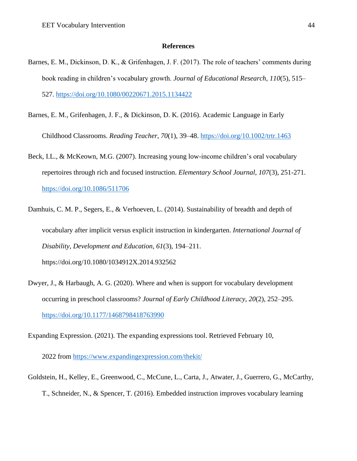#### **References**

- <span id="page-44-0"></span>Barnes, E. M., Dickinson, D. K., & Grifenhagen, J. F. (2017). The role of teachers' comments during book reading in children's vocabulary growth. *Journal of Educational Research*, *110*(5), 515– 527.<https://doi.org/10.1080/00220671.2015.1134422>
- Barnes, E. M., Grifenhagen, J. F., & Dickinson, D. K. (2016). Academic Language in Early Childhood Classrooms. *Reading Teacher*, *70*(1), 39–48.<https://doi.org/10.1002/trtr.1463>
- Beck, I.L., & McKeown, M.G. (2007). Increasing young low-income children's oral vocabulary repertoires through rich and focused instruction. *Elementary School Journal*, *107*(3), 251-271. <https://doi.org/10.1086/511706>
- Damhuis, C. M. P., Segers, E., & Verhoeven, L. (2014). Sustainability of breadth and depth of vocabulary after implicit versus explicit instruction in kindergarten. *International Journal of Disability, Development and Education*, *61*(3), 194–211. https://doi.org/10.1080/1034912X.2014.932562
- Dwyer, J., & Harbaugh, A. G. (2020). Where and when is support for vocabulary development occurring in preschool classrooms? *Journal of Early Childhood Literacy*, *20*(2), 252–295. <https://doi.org/10.1177/1468798418763990>

Expanding Expression. (2021). The expanding expressions tool. Retrieved February 10,

2022 from<https://www.expandingexpression.com/thekit/>

Goldstein, H., Kelley, E., Greenwood, C., McCune, L., Carta, J., Atwater, J., Guerrero, G., McCarthy, T., Schneider, N., & Spencer, T. (2016). Embedded instruction improves vocabulary learning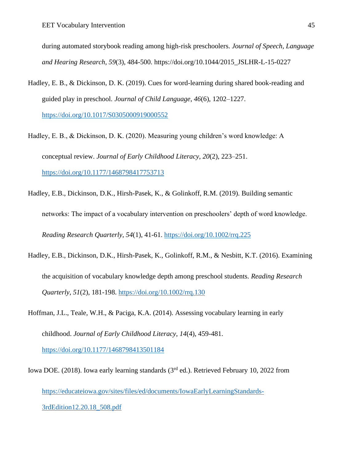during automated storybook reading among high-risk preschoolers. *Journal of Speech, Language and Hearing Research*, *59*(3), 484-500. https://doi.org/10.1044/2015\_JSLHR-L-15-0227

Hadley, E. B., & Dickinson, D. K. (2019). Cues for word-learning during shared book-reading and guided play in preschool. *Journal of Child Language*, *46*(6), 1202–1227. <https://doi.org/10.1017/S0305000919000552>

Hadley, E. B., & Dickinson, D. K. (2020). Measuring young children's word knowledge: A conceptual review. *Journal of Early Childhood Literacy*, *20*(2), 223–251. <https://doi.org/10.1177/1468798417753713>

- Hadley, E.B., Dickinson, D.K., Hirsh-Pasek, K., & Golinkoff, R.M. (2019). Building semantic networks: The impact of a vocabulary intervention on preschoolers' depth of word knowledge. *Reading Research Quarterly*, *54*(1), 41-61.<https://doi.org/10.1002/rrq.225>
- Hadley, E.B., Dickinson, D.K., Hirsh-Pasek, K., Golinkoff, R.M., & Nesbitt, K.T. (2016). Examining the acquisition of vocabulary knowledge depth among preschool students. *Reading Research Quarterly*, *51*(2), 181-198.<https://doi.org/10.1002/rrq.130>

Hoffman, J.L., Teale, W.H., & Paciga, K.A. (2014). Assessing vocabulary learning in early childhood. *Journal of Early Childhood Literacy*, *14*(4), 459-481. <https://doi.org/10.1177/1468798413501184>

Iowa DOE. (2018). Iowa early learning standards (3<sup>rd</sup> ed.). Retrieved February 10, 2022 from [https://educateiowa.gov/sites/files/ed/documents/IowaEarlyLearningStandards-](https://educateiowa.gov/sites/files/ed/documents/IowaEarlyLearningStandards-3rdEdition12.20.18_508.pdf)[3rdEdition12.20.18\\_508.pdf](https://educateiowa.gov/sites/files/ed/documents/IowaEarlyLearningStandards-3rdEdition12.20.18_508.pdf)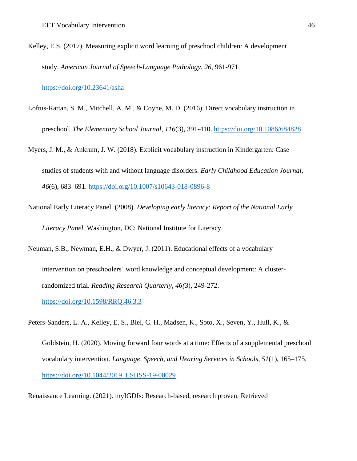Kelley, E.S. (2017). Measuring explicit word learning of preschool children: A development study. *American Journal of Speech-Language Pathology*, *26,* 961-971.

<https://doi.org/10.23641/asha>

- Loftus-Rattan, S. M., Mitchell, A. M., & Coyne, M. D. (2016). Direct vocabulary instruction in preschool. *The Elementary School Journal*, *116*(3), 391-410. <https://doi.org/10.1086/684828>
- Myers, J. M., & Ankrum, J. W. (2018). Explicit vocabulary instruction in Kindergarten: Case studies of students with and without language disorders. *Early Childhood Education Journal*, *46*(6), 683–691.<https://doi.org/10.1007/s10643-018-0896-8>
- National Early Literacy Panel. (2008). *Developing early literacy: Report of the National Early Literacy Panel.* Washington, DC: National Institute for Literacy.
- Neuman, S.B., Newman, E.H., & Dwyer, J. (2011). Educational effects of a vocabulary intervention on preschoolers' word knowledge and conceptual development: A clusterrandomized trial. *Reading Research Quarterly*, *46(*3), 249-272. <https://doi.org/10.1598/RRQ.46.3.3>
- Peters-Sanders, L. A., Kelley, E. S., Biel, C. H., Madsen, K., Soto, X., Seven, Y., Hull, K., &
	- Goldstein, H. (2020). Moving forward four words at a time: Effects of a supplemental preschool vocabulary intervention. *Language, Speech, and Hearing Services in Schools*, *51*(1), 165–175. [https://doi.org/10.1044/2019\\_LSHSS-19-00029](https://doi.org/10.1044/2019_LSHSS-19-00029)
- Renaissance Learning. (2021). myIGDIs: Research-based, research proven. Retrieved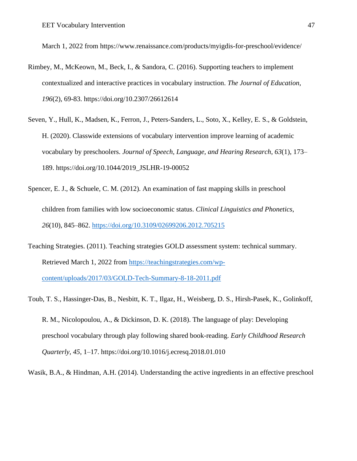March 1, 2022 from https://www.renaissance.com/products/myigdis-for-preschool/evidence/

- Rimbey, M., McKeown, M., Beck, I., & Sandora, C. (2016). Supporting teachers to implement contextualized and interactive practices in vocabulary instruction. *The Journal of Education*, *196*(2), 69-83. https://doi.org/10.2307/26612614
- Seven, Y., Hull, K., Madsen, K., Ferron, J., Peters-Sanders, L., Soto, X., Kelley, E. S., & Goldstein, H. (2020). Classwide extensions of vocabulary intervention improve learning of academic vocabulary by preschoolers. *Journal of Speech, Language, and Hearing Research*, *63*(1), 173– 189. https://doi.org/10.1044/2019\_JSLHR-19-00052
- Spencer, E. J., & Schuele, C. M. (2012). An examination of fast mapping skills in preschool children from families with low socioeconomic status. *Clinical Linguistics and Phonetics*, *26*(10), 845–862.<https://doi.org/10.3109/02699206.2012.705215>
- Teaching Strategies. (2011). Teaching strategies GOLD assessment system: technical summary. Retrieved March 1, 2022 from [https://teachingstrategies.com/wp](https://teachingstrategies.com/wp-content/uploads/2017/03/GOLD-Tech-Summary-8-18-2011.pdf)[content/uploads/2017/03/GOLD-Tech-Summary-8-18-2011.pdf](https://teachingstrategies.com/wp-content/uploads/2017/03/GOLD-Tech-Summary-8-18-2011.pdf)
- Toub, T. S., Hassinger-Das, B., Nesbitt, K. T., Ilgaz, H., Weisberg, D. S., Hirsh-Pasek, K., Golinkoff,
	- R. M., Nicolopoulou, A., & Dickinson, D. K. (2018). The language of play: Developing preschool vocabulary through play following shared book-reading. *Early Childhood Research Quarterly*, *45*, 1–17. https://doi.org/10.1016/j.ecresq.2018.01.010

Wasik, B.A., & Hindman, A.H. (2014). Understanding the active ingredients in an effective preschool